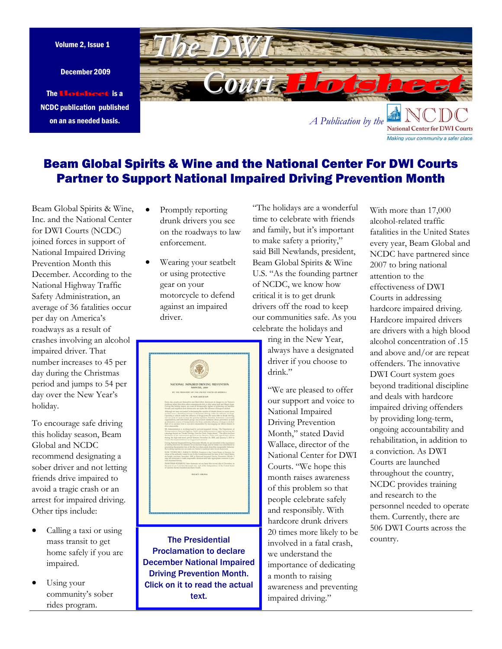December 2009

The Hotsheet is a NCDC publication published on an as needed basis.



# Beam Global Spirits & Wine and the National Center For DWI Courts Partner to Support National Impaired Driving Prevention Month

Beam Global Spirits & Wine, Inc. and the National Center for DWI Courts (NCDC) joined forces in support of National Impaired Driving Prevention Month this December. According to the National Highway Traffic Safety Administration, an average of 36 fatalities occur per day on America's roadways as a result of crashes involving an alcohol impaired driver. That number increases to 45 per day during the Christmas period and jumps to 54 per day over the New Year's holiday.

To encourage safe driving this holiday season, Beam Global and NCDC recommend designating a sober driver and not letting friends drive impaired to avoid a tragic crash or an arrest for impaired driving. Other tips include:

- Calling a taxi or using mass transit to get home safely if you are impaired.
- Using your community's sober rides program.
- Promptly reporting drunk drivers you see on the roadways to law enforcement.
- Wearing your seatbelt or using protective gear on your motorcycle to defend against an impaired driver.

The Presidential Proclamation to declare [December National Impaired](https://obamawhitehouse.archives.gov/the-press-office/2016/11/30/presidential-proclamation-national-impaired-driving-prevention-month)  Driving Prevention Month. Click on it to read the actual text.



ring in the New Year, always have a designated driver if you choose to drink."

"We are pleased to offer our support and voice to National Impaired Driving Prevention Month," stated David Wallace, director of the National Center for DWI Courts. "We hope this month raises awareness of this problem so that people celebrate safely and responsibly. With hardcore drunk drivers 20 times more likely to be involved in a fatal crash, we understand the importance of dedicating a month to raising awareness and preventing impaired driving."

With more than 17,000 alcohol-related traffic fatalities in the United States every year, Beam Global and NCDC have partnered since 2007 to bring national attention to the effectiveness of DWI Courts in addressing hardcore impaired driving. Hardcore impaired drivers are drivers with a high blood alcohol concentration of .15 and above and/or are repeat offenders. The innovative DWI Court system goes beyond traditional discipline and deals with hardcore impaired driving offenders by providing long-term, ongoing accountability and rehabilitation, in addition to a conviction. As DWI Courts are launched throughout the country, NCDC provides training and research to the personnel needed to operate them. Currently, there are 506 DWI Courts across the country.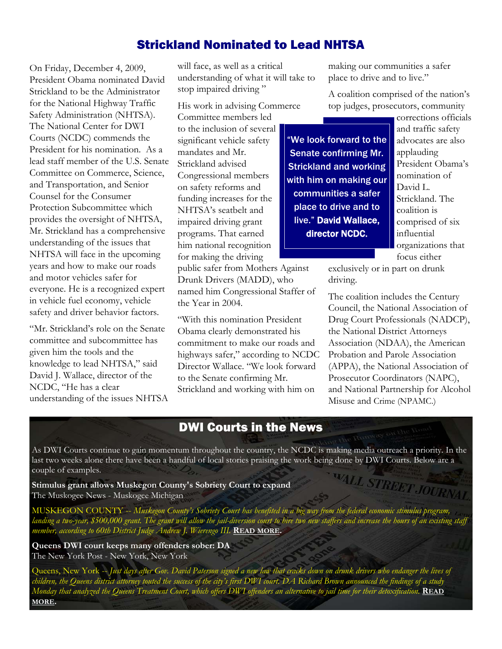## Strickland Nominated to Lead NHTSA

On Friday, December 4, 2009, President Obama nominated David Strickland to be the Administrator for the National Highway Traffic Safety Administration (NHTSA). The National Center for DWI Courts (NCDC) commends the President for his nomination. As a lead staff member of the U.S. Senate Committee on Commerce, Science, and Transportation, and Senior Counsel for the Consumer Protection Subcommittee which provides the oversight of NHTSA, Mr. Strickland has a comprehensive understanding of the issues that NHTSA will face in the upcoming years and how to make our roads and motor vehicles safer for everyone. He is a recognized expert in vehicle fuel economy, vehicle safety and driver behavior factors.

"Mr. Strickland's role on the Senate committee and subcommittee has given him the tools and the knowledge to lead NHTSA," said David J. Wallace, director of the NCDC, "He has a clear understanding of the issues NHTSA will face, as well as a critical understanding of what it will take to stop impaired driving "

His work in advising Commerce

Committee members led to the inclusion of several significant vehicle safety mandates and Mr. Strickland advised Congressional members on safety reforms and funding increases for the NHTSA's seatbelt and impaired driving grant programs. That earned him national recognition for making the driving

public safer from Mothers Against Drunk Drivers (MADD), who named him Congressional Staffer of the Year in 2004.

"With this nomination President Obama clearly demonstrated his commitment to make our roads and highways safer," according to NCDC Director Wallace. "We look forward to the Senate confirming Mr. Strickland and working with him on

making our communities a safer place to drive and to live."

A coalition comprised of the nation's top judges, prosecutors, community

"We look forward to the Senate confirming Mr. Strickland and working with him on making our communities a safer place to drive and to live." David Wallace, director NCDC.

corrections officials and traffic safety advocates are also applauding President Obama's nomination of David L. Strickland. The coalition is comprised of six influential organizations that focus either

exclusively or in part on drunk driving.

The coalition includes the Century Council, the National Association of Drug Court Professionals (NADCP), the National District Attorneys Association (NDAA), the American Probation and Parole Association (APPA), the National Association of Prosecutor Coordinators (NAPC), and National Partnership for Alcohol Misuse and Crime (NPAMC.)

### DWI Courts in the News

As DWI Courts continue to gain momentum throughout the country, the NCDC is making media outreach a priority. In the last two weeks alone there have been a handful of local stories praising the work being done by DWI Courts. Below are a couple of examples. VALL STREET JOURN

**Stimulus grant allows Muskegon County's Sobriety Court to expand**  The Muskogee News - Muskogee Michigan

MUSKEGON COUNTY -- *Muskegon County's Sobriety Court has benefited in a big way from the federal economic stimulus program, landing a two-year, \$500,000 grant. The grant will allow the jail-diversion court to hire two new staffers and increase the hours of an existing staff member, according to 60th District Judge Andrew J. Wierengo III.* **READ [MORE.](http://www.mlive.com/news/muskegon/index.ssf/2009/11/stimulus_grant_allows_muskegon.html)** 

**Queens DWI court keeps many offenders sober: DA**  The New York Post - New York, New York

Queens, New York -- *Just days after Gov. David Paterson signed a new law that cracks down on drunk drivers who endanger the lives of children, the Queens district attorney touted the success of the city's first DWI court. DA Richard Brown announced the findings of a study Monday that analyzed the Queens Treatment Court, which offers DWI offenders an alternative to jail time for their detoxification.* **[READ](http://www.nypost.com/p/news/local/queens/queens_dwi_court_keeps_many_offenders_MP9Cn1GfaHh6v49nqFoA1M) [MORE.](http://www.nypost.com/p/news/local/queens/queens_dwi_court_keeps_many_offenders_MP9Cn1GfaHh6v49nqFoA1M)**